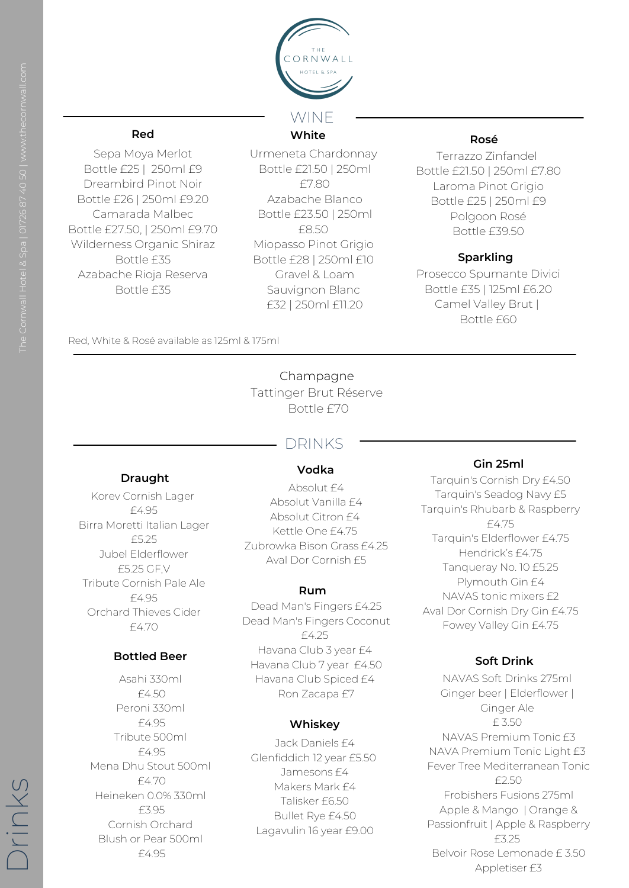

**White**

Urmeneta Chardonnay Bottle £21.50 | 250ml £7.80 Azabache Blanco Bottle £23.50 | 250ml £8.50 Miopasso Pinot Grigio Bottle £28 | 250ml £10 Gravel & Loam Sauvignon Blanc £32 | 250ml £11.20

## **Red**

Sepa Moya Merlot Bottle £25 | 250ml £9 Dreambird Pinot Noir Bottle £26 | 250ml £9.20 Camarada Malbec Bottle £27.50, | 250ml £9.70 Wilderness Organic Shiraz Bottle £35 Azabache Rioja Reserva Bottle £35

### **Sparkling**

Prosecco Spumante Divici Bottle £35 | 125ml £6.20 Camel Valley Brut | Bottle £60

Asahi 330ml £4.50 Peroni 330ml £4.95 Tribute 500ml £4.95 Mena Dhu Stout 500ml £4.70 Heineken 0.0% 330ml £3.95 Cornish Orchard Blush or Pear 500ml £4.95

**Bottled Beer**

## **Draught**

Korev Cornish Lager £4.95 Birra Moretti Italian Lager £5.25 Jubel Elderflower £5.25 GF,V Tribute Cornish Pale Ale £4.95 Orchard Thieves Cider £4.70

#### **Gin 25ml**

Tarquin's Cornish Dry £4.50 Tarquin's Seadog Navy £5 Tarquin's Rhubarb & Raspberry £4.75 Tarquin's Elderflower £4.75 Hendrick's £4.75 Tanqueray No. 10 £5.25 Plymouth Gin £4 NAVAS tonic mixers £2 Aval Dor Cornish Dry Gin £4.75 Fowey Valley Gin £4.75

#### **Rosé**

Terrazzo Zinfandel Bottle £21.50 | 250ml £7.80 Laroma Pinot Grigio Bottle £25 | 250ml £9 Polgoon Rosé Bottle £39.50

Champagne Tattinger Brut Réserve Bottle £70

#### **Rum**

Jack Daniels £4 Glenfiddich 12 year £5.50 Jamesons £4 Makers Mark £4 Talisker £6.50 Bullet Rye £4.50 Lagavulin 16 year £9.00

#### **Whiskey**

# DRINKS

Dead Man's Fingers £4.25 Dead Man's Fingers Coconut £4.25 Havana Club 3 year £4 Havana Club 7 year £4.50

Havana Club Spiced £4 Ron Zacapa £7

#### **Vodka**

Absolut £4 Absolut Vanilla £4 Absolut Citron £4 Kettle One £4.75 Zubrowka Bison Grass £4.25 Aval Dor Cornish £5

#### **Soft Drink**

 $\bigcap$ ring .<br>T  $\overline{\times}$  $\cup$  )

NAVAS Soft Drinks 275ml Ginger beer | Elderflower | Ginger Ale £ 3.50 NAVAS Premium Tonic £3 NAVA Premium Tonic Light £3 Fever Tree Mediterranean Tonic £2.50 Frobishers Fusions 275ml Apple & Mango | Orange & Passionfruit | Apple & Raspberry £3.25 Belvoir Rose Lemonade £ 3.50 Appletiser £3

Red, White & Rosé available as 125ml & 175ml